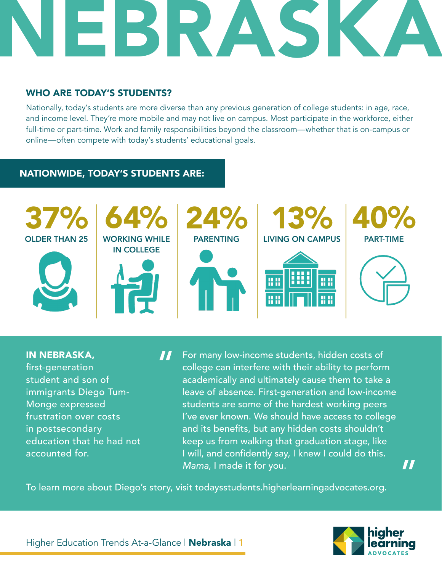

## WHO ARE TODAY'S STUDENTS?

Nationally, today's students are more diverse than any previous generation of college students: in age, race, and income level. They're more mobile and may not live on campus. Most participate in the workforce, either full-time or part-time. Work and family responsibilities beyond the classroom—whether that is on-campus or online—often compete with today's students' educational goals.

## NATIONWIDE, TODAY'S STUDENTS ARE:



IN NEBRASKA, first-generation student and son of immigrants Diego Tum-Monge expressed frustration over costs in postsecondary education that he had not accounted for.

For many low-income students, hidden costs of college can interfere with their ability to perform academically and ultimately cause them to take a leave of absence. First-generation and low-income students are some of the hardest working peers I've ever known. We should have access to college and its benefits, but any hidden costs shouldn't keep us from walking that graduation stage, like I will, and confidently say, I knew I could do this. *Mama*, I made it for you. "

To learn more about Diego's story, visit todaysstudents.higherlearningadvocates.org.



 $\bm{T}$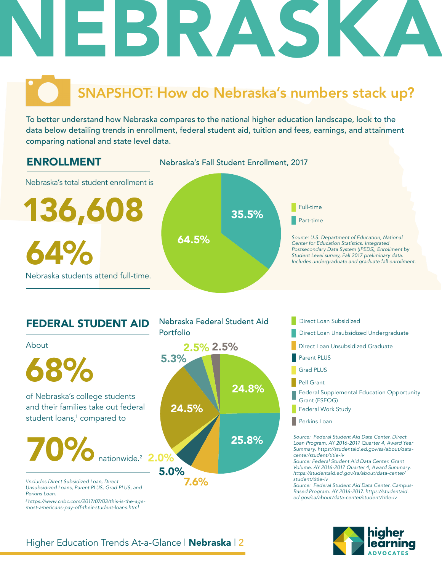

# SNAPSHOT: How do Nebraska's numbers stack up?

To better understand how Nebraska compares to the national higher education landscape, look to the data below detailing trends in enrollment, federal student aid, tuition and fees, earnings, and attainment comparing national and state level data.



Nebraska Federal Student Aid

## FEDERAL STUDENT AID



- Direct Loan Subsidized
- Portfolio **Direct Loan Unsubsidized Undergraduate** 
	- Direct Loan Unsubsidized Graduate
	- Parent PLUS
	- Grad PLUS
	- Pell Grant
	- Federal Supplemental Education Opportunity Grant (FSEOG)
	- Federal Work Study
	- **Perkins Loan**

*Source: Federal Student Aid Data Center. Direct Loan Program. AY 2016-2017 Quarter 4, Award Year Summary. https://studentaid.ed.gov/sa/about/datacenter/student/title-iv*

*Source: Federal Student Aid Data Center. Grant Volume. AY 2016-2017 Quarter 4, Award Summary. https://studentaid.ed.gov/sa/about/data-center/ student/title-iv*

*Source: Federal Student Aid Data Center. Campus-Based Program. AY 2016-2017. https://studentaid. ed.gov/sa/about/data-center/student/title-iv*



## Higher Education Trends At-a-Glance | Nebraska | 2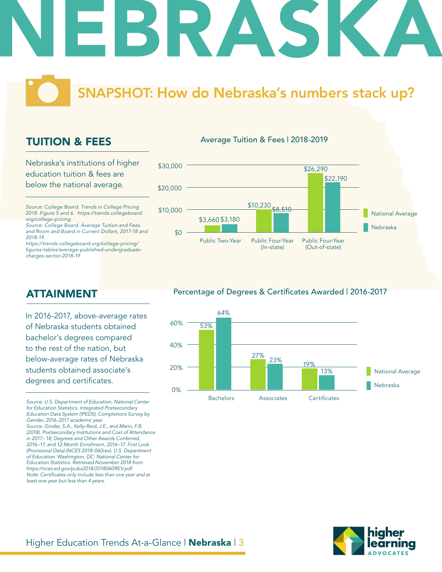

# SNAPSHOT: How do Nebraska's numbers stack up?

Average Tuition & Fees | 2018-2019

## TUITION & FEES

Nebraska's institutions of higher education tuition & fees are below the national average.

*Source: College Board. Trends in College Pricing 2018. Figure 5 and 6. https://trends.collegeboard. org/college-pricing*

*Source: College Board. Average Tuition and Fees and Room and Board in Current Dollars, 2017-18 and 2018-19.*

*https://trends.collegeboard.org/college-pricing/* figures-tables/average-published-undergraduate*charges-sector-2018-19*

## \$0 \$10,000 \$20,000 \$30,000 Public Two-Year Public Four-Year (In-state) Public Four-Year (Out-of-state) \$3,660 \$3,180 \$10,230 \$26,290 Nebraska National Average \$22,190 \$8.510

## ATTAINMENT

In 2016-2017, above-average rates of Nebraska students obtained bachelor's degrees compared to the rest of the nation, but below-average rates of Nebraska students obtained associate's degrees and certificates.

*Source: U.S. Department of Education, National Center for Education Statistics. Integrated Postsecondary Education Data System (IPEDS), Completions Survey by Gender, 2016-2017 academic year. Source: Ginder, S.A., Kelly-Reid, J.E., and Mann, F.B. (2018). Postsecondary Institutions and Cost of Attendance in 2017– 18; Degrees and Other Awards Conferred, 2016–17; and 12-Month Enrollment, 2016–17: First Look (Provisional Data) (NCES 2018-060rev). U.S. Department of Education. Washington, DC: National Center for Education Statistics. Retrieved November 2018 from https://nces.ed.gov/pubs2018/2018060REV.pdf* Note: Certificates only include less than one year and at *least one year but less than 4 years.* 

## Percentage of Degrees & Certificates Awarded | 2016-2017



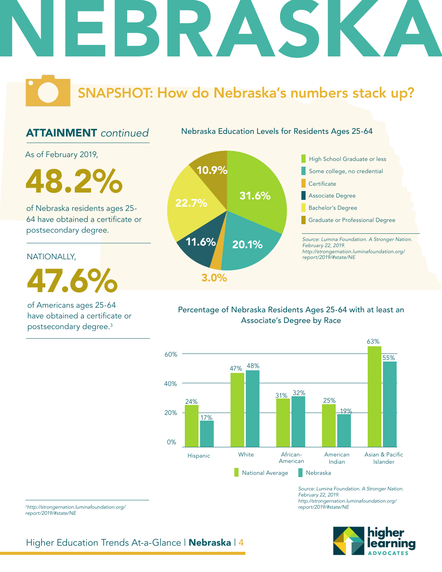

# SNAPSHOT: How do Nebraska's numbers stack up?

## ATTAINMENT *continued*

Nebraska Education Levels for Residents Ages 25-64

As of February 2019,

10.9% 48.2%

of Nebraska residents ages 25- 64 have obtained a certificate or postsecondary degree.

## NATIONALLY,

47.6%

of Americans ages 25-64 have obtained a certificate or postsecondary degree.3





## Percentage of Nebraska Residents Ages 25-64 with at least an Associate's Degree by Race



*Source: Lumina Foundation. A Stronger Nation. February 22, 2019. http://strongernation.luminafoundation.org/ report/2019/#state/NE*



<sup>3</sup>*http://strongernation.luminafoundation.org/ report/2019/#state/NE*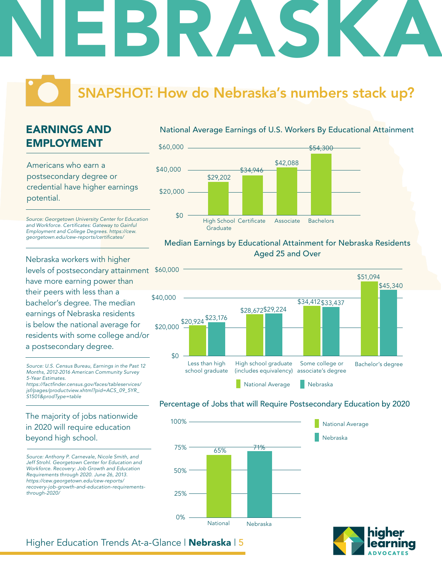# NEBRASKA

# SNAPSHOT: How do Nebraska's numbers stack up?

## EARNINGS AND EMPLOYMENT

Americans who earn a postsecondary degree or credential have higher earnings potential.

*Source: Georgetown University Center for Education*  and Workforce. Certificates: Gateway to Gainful *Employment and College Degrees. https://cew.* georgetown.edu/cew-reports/certificates/

Nebraska workers with higher levels of postsecondary attainment \$60,000 have more earning power than their peers with less than a bachelor's degree. The median earnings of Nebraska residents is below the national average for residents with some college and/or a postsecondary degree.

*Source: U.S. Census Bureau, Earnings in the Past 12 Months, 2012-2016 American Community Survey 5-Year Estimates.* https://factfinder.census.gov/faces/tableservices/ *jsf/pages/productview.xhtml?pid=ACS\_09\_5YR\_ S1501&prodType=table*

The majority of jobs nationwide in 2020 will require education beyond high school.

*Source: Anthony P. Carnevale, Nicole Smith, and Jeff Strohl. Georgetown Center for Education and Workforce. Recovery: Job Growth and Education Requirements through 2020. June 26, 2013. https://cew.georgetown.edu/cew-reports/ recovery-job-growth-and-education-requirementsthrough-2020/*

## National Average Earnings of U.S. Workers By Educational Attainment



## Median Earnings by Educational Attainment for Nebraska Residents Aged 25 and Over



## Percentage of Jobs that will Require Postsecondary Education by 2020

Nebraska

National Average





## Higher Education Trends At-a-Glance | Nebraska | 5